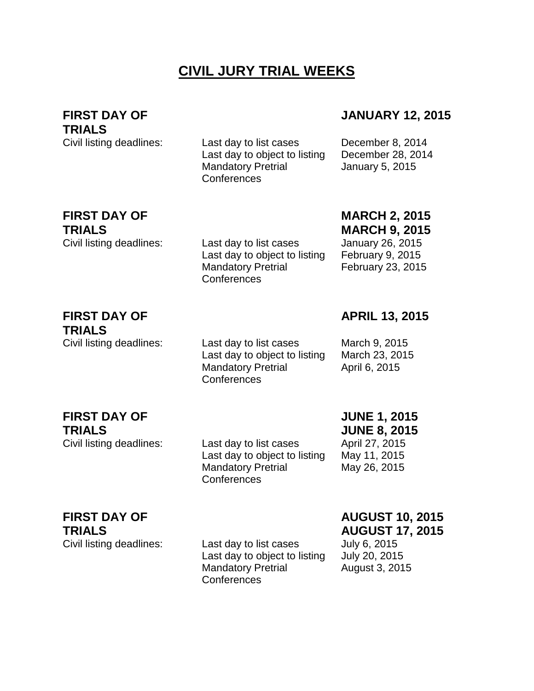# **CIVIL JURY TRIAL WEEKS**

## **FIRST DAY OF**

**TRIALS**

Civil listing deadlines: Last day to list cases December 8, 2014 Last day to object to listing December 28, 2014 Mandatory Pretrial **Conferences** 

### **JANUARY 12, 2015**

January 5, 2015

# **FIRST DAY OF TRIALS**

Civil listing deadlines: Last day to list cases January 26, 2015 Last day to object to listing February 9, 2015 Mandatory Pretrial Conferences

# **MARCH 2, 2015**

**MARCH 9, 2015** February 23, 2015

#### **FIRST DAY OF TRIALS**

Civil listing deadlines: Last day to list cases March 9, 2015 Last day to object to listing March 23, 2015 Mandatory Pretrial **Conferences** 

**APRIL 13, 2015**

April 6, 2015

## **FIRST DAY OF TRIALS**

Civil listing deadlines: Last day to list cases April 27, 2015 Last day to object to listing May 11, 2015 Mandatory Pretrial **Conferences** 

**JUNE 1, 2015 JUNE 8, 2015**

May 26, 2015

**FIRST DAY OF TRIALS**

Civil listing deadlines: Last day to list cases July 6, 2015 Last day to object to listing July 20, 2015 Mandatory Pretrial **Conferences** 

#### **AUGUST 10, 2015 AUGUST 17, 2015**

August 3, 2015